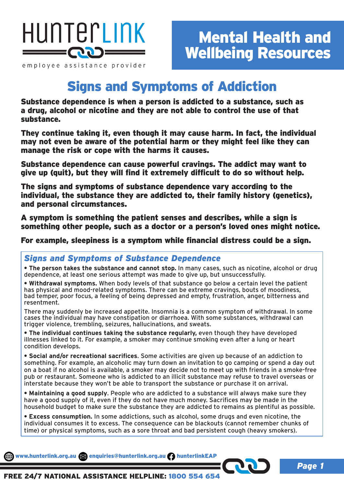

employee assistance provider

## Signs and Symptoms of Addiction

Substance dependence is when a person is addicted to a substance, such as a drug, alcohol or nicotine and they are not able to control the use of that substance.

They continue taking it, even though it may cause harm. In fact, the individual may not even be aware of the potential harm or they might feel like they can manage the risk or cope with the harms it causes.

Substance dependence can cause powerful cravings. The addict may want to give up (quit), but they will find it extremely difficult to do so without help.

The signs and symptoms of substance dependence vary according to the individual, the substance they are addicted to, their family history (genetics), and personal circumstances.

A symptom is something the patient senses and describes, while a sign is something other people, such as a doctor or a person's loved ones might notice.

For example, sleepiness is a symptom while financial distress could be a sign.

#### *Signs and Symptoms of Substance Dependence*

**• The person takes the substance and cannot stop.** In many cases, such as nicotine, alcohol or drug dependence, at least one serious attempt was made to give up, but unsuccessfully.

**• Withdrawal symptoms.** When body levels of that substance go below a certain level the patient has physical and mood-related symptoms. There can be extreme cravings, bouts of moodiness, bad temper, poor focus, a feeling of being depressed and empty, frustration, anger, bitterness and resentment.

There may suddenly be increased appetite. Insomnia is a common symptom of withdrawal. In some cases the individual may have constipation or diarrhoea. With some substances, withdrawal can trigger violence, trembling, seizures, hallucinations, and sweats.

**• The individual continues taking the substance regularly,** even though they have developed illnesses linked to it. For example, a smoker may continue smoking even after a lung or heart condition develops.

**• Social and/or recreational sacrifices**. Some activities are given up because of an addiction to something. For example, an alcoholic may turn down an invitation to go camping or spend a day out on a boat if no alcohol is available, a smoker may decide not to meet up with friends in a smoke-free pub or restaurant. Someone who is addicted to an illicit substance may refuse to travel overseas or interstate because they won't be able to transport the substance or purchase it on arrival.

**• Maintaining a good supply**. People who are addicted to a substance will always make sure they have a good supply of it, even if they do not have much money. Sacrifices may be made in the household budget to make sure the substance they are addicted to remains as plentiful as possible.

**• Excess consumption.** In some addictions, such as alcohol, some drugs and even nicotine, the individual consumes it to excess. The consequence can be blackouts (cannot remember chunks of time) or physical symptoms, such as a sore throat and bad persistent cough (heavy smokers).

www.hunterlink.org.au and enquiries@hunterlink.org.au hunterlinkEAP